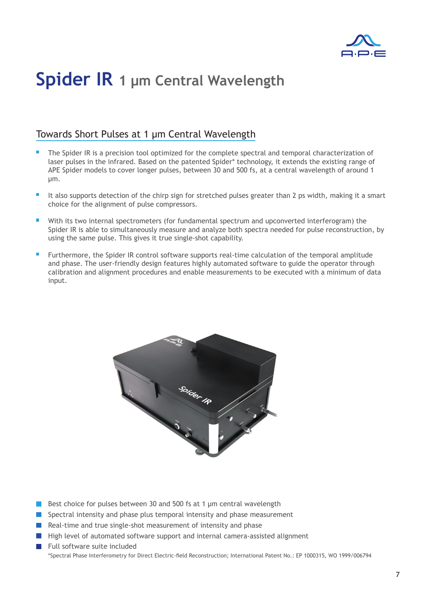

## **Spider IR 1 μm Central Wavelength**

### Towards Short Pulses at 1 µm Central Wavelength

- The Spider IR is a precision tool optimized for the complete spectral and temporal characterization of laser pulses in the infrared. Based on the patented Spider\* technology, it extends the existing range of APE Spider models to cover longer pulses, between 30 and 500 fs, at a central wavelength of around 1 µm.
- It also supports detection of the chirp sign for stretched pulses greater than 2 ps width, making it a smart choice for the alignment of pulse compressors.
- With its two internal spectrometers (for fundamental spectrum and upconverted interferogram) the Spider IR is able to simultaneously measure and analyze both spectra needed for pulse reconstruction, by using the same pulse. This gives it true single-shot capability.
- Furthermore, the Spider IR control software supports real-time calculation of the temporal amplitude and phase. The user-friendly design features highly automated software to guide the operator through calibration and alignment procedures and enable measurements to be executed with a minimum of data input.



- Best choice for pulses between 30 and 500 fs at 1  $\mu$ m central wavelength
- Spectral intensity and phase plus temporal intensity and phase measurement
- Real-time and true single-shot measurement of intensity and phase
- $\blacksquare$  High level of automated software support and internal camera-assisted alignment
- Full software suite included \*Spectral Phase Interferometry for Direct Electric-field Reconstruction; International Patent No.: EP 1000315, WO 1999/006794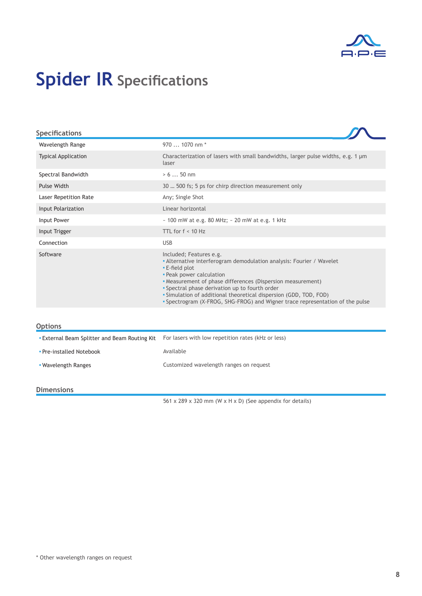

# **Spider IR Specifications**

| <b>Specifications</b>        |                                                                                                                                                                                                                                                                                                                                                                                                                      |
|------------------------------|----------------------------------------------------------------------------------------------------------------------------------------------------------------------------------------------------------------------------------------------------------------------------------------------------------------------------------------------------------------------------------------------------------------------|
| Wavelength Range             | 970  1070 nm *                                                                                                                                                                                                                                                                                                                                                                                                       |
| <b>Typical Application</b>   | Characterization of lasers with small bandwidths, larger pulse widths, e.g. 1 $\mu$ m<br>laser                                                                                                                                                                                                                                                                                                                       |
| Spectral Bandwidth           | > 6  50 nm                                                                                                                                                                                                                                                                                                                                                                                                           |
| Pulse Width                  | 30  500 fs; 5 ps for chirp direction measurement only                                                                                                                                                                                                                                                                                                                                                                |
| <b>Laser Repetition Rate</b> | Any; Single Shot                                                                                                                                                                                                                                                                                                                                                                                                     |
| Input Polarization           | Linear horizontal                                                                                                                                                                                                                                                                                                                                                                                                    |
| Input Power                  | $\sim$ 100 mW at e.g. 80 MHz; $\sim$ 20 mW at e.g. 1 kHz                                                                                                                                                                                                                                                                                                                                                             |
| Input Trigger                | TTL for $f < 10$ Hz                                                                                                                                                                                                                                                                                                                                                                                                  |
| Connection                   | <b>USB</b>                                                                                                                                                                                                                                                                                                                                                                                                           |
| Software                     | Included; Features e.g.<br>• Alternative interferogram demodulation analysis: Fourier / Wavelet<br>. E-field plot<br>• Peak power calculation<br>• Measurement of phase differences (Dispersion measurement)<br>• Spectral phase derivation up to fourth order<br>• Simulation of additional theoretical dispersion (GDD, TOD, FOD)<br>• Spectrogram (X-FROG, SHG-FROG) and Wigner trace representation of the pulse |
| <b>Options</b>               |                                                                                                                                                                                                                                                                                                                                                                                                                      |

| -------                                            |                                                    |
|----------------------------------------------------|----------------------------------------------------|
| <b>External Beam Splitter and Beam Routing Kit</b> | For lasers with low repetition rates (kHz or less) |
| • Pre-installed Notebook                           | Available                                          |
| • Wavelength Ranges                                | Customized wavelength ranges on request            |
|                                                    |                                                    |

#### **Dimensions**

561 x 289 x 320 mm (W x H x D) (See appendix for details)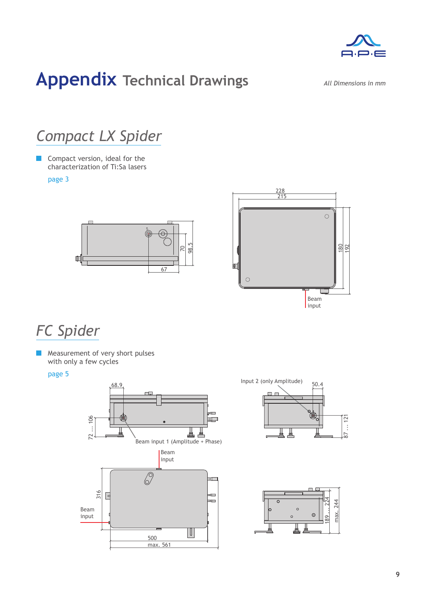

## **Appendix Technical Drawings**

*All Dimensions in mm*

## *Compact LX Spider*

**Compact version, ideal for the** characterization of Ti:Sa lasers

### page 3





### *FC Spider*

**Measurement of very short pulses** with only a few cycles

### page 5